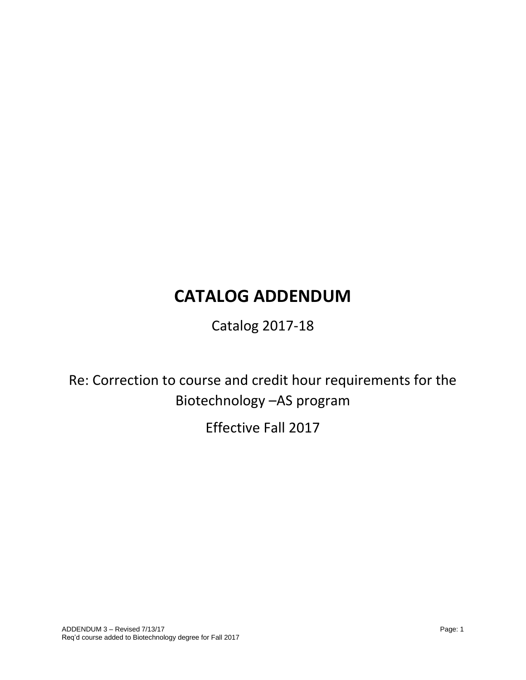# **CATALOG ADDENDUM**

Catalog 2017-18

Re: Correction to course and credit hour requirements for the Biotechnology –AS program

Effective Fall 2017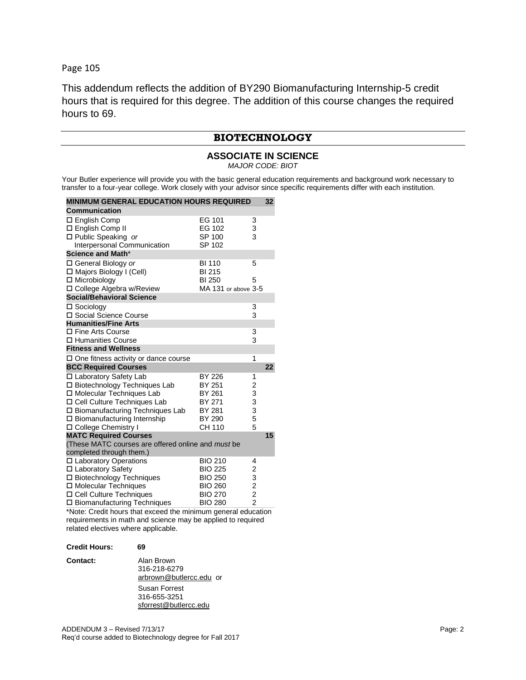Page 105

This addendum reflects the addition of BY290 Biomanufacturing Internship-5 credit hours that is required for this degree. The addition of this course changes the required hours to 69.

# **BIOTECHNOLOGY**

# **ASSOCIATE IN SCIENCE** *MAJOR CODE: BIOT*

Your Butler experience will provide you with the basic general education requirements and background work necessary to transfer to a four-year college. Work closely with your advisor since specific requirements differ with each institution.

| <b>MINIMUM GENERAL EDUCATION HOURS REQUIRED</b><br>32                                                                                                                                                                   |                                                                                        |                                                                  |    |
|-------------------------------------------------------------------------------------------------------------------------------------------------------------------------------------------------------------------------|----------------------------------------------------------------------------------------|------------------------------------------------------------------|----|
| Communication                                                                                                                                                                                                           |                                                                                        |                                                                  |    |
| $\square$ English Comp<br>□ English Comp II<br>□ Public Speaking or<br>Interpersonal Communication                                                                                                                      | EG 101<br>EG 102<br>SP 100<br>SP 102                                                   | 3<br>3<br>3                                                      |    |
| Science and Math*                                                                                                                                                                                                       |                                                                                        |                                                                  |    |
| □ General Biology or<br>□ Majors Biology I (Cell)<br>□ Microbiology<br>□ College Algebra w/Review                                                                                                                       | <b>BI 110</b><br><b>BI215</b><br><b>BI 250</b><br>MA 131 or above 3-5                  | 5<br>5                                                           |    |
| <b>Social/Behavioral Science</b>                                                                                                                                                                                        |                                                                                        |                                                                  |    |
| □ Sociology<br>□ Social Science Course                                                                                                                                                                                  |                                                                                        | 3<br>3                                                           |    |
| <b>Humanities/Fine Arts</b><br>□ Fine Arts Course                                                                                                                                                                       |                                                                                        |                                                                  |    |
| □ Humanities Course                                                                                                                                                                                                     |                                                                                        | 3<br>3                                                           |    |
| <b>Fitness and Wellness</b>                                                                                                                                                                                             |                                                                                        |                                                                  |    |
| $\square$ One fitness activity or dance course                                                                                                                                                                          |                                                                                        | 1                                                                |    |
| <b>BCC Required Courses</b>                                                                                                                                                                                             |                                                                                        |                                                                  | 22 |
| □ Laboratory Safety Lab<br>□ Biotechnology Techniques Lab<br>□ Molecular Techniques Lab<br>□ Cell Culture Techniques Lab<br>□ Biomanufacturing Techniques Lab<br>□ Biomanufacturing Internship<br>□ College Chemistry I | BY 226<br>BY 251<br>BY 261<br>BY 271<br>BY 281<br>BY 290<br>CH 110                     | 1<br>$\begin{array}{c}\n23 \\ 33\n\end{array}$<br>5<br>5         |    |
| <b>MATC Required Courses</b>                                                                                                                                                                                            |                                                                                        |                                                                  | 15 |
| (These MATC courses are offered online and must be<br>completed through them.)                                                                                                                                          |                                                                                        |                                                                  |    |
| □ Laboratory Operations<br>□ Laboratory Safety<br>□ Biotechnology Techniques<br>□ Molecular Techniques<br>□ Cell Culture Techniques                                                                                     | <b>BIO 210</b><br><b>BIO 225</b><br><b>BIO 250</b><br><b>BIO 260</b><br><b>BIO 270</b> | 4<br>$\begin{array}{c} 2 \\ 3 \\ 2 \end{array}$<br>$\frac{2}{2}$ |    |
| □ Biomanufacturing Techniques<br>$\cdots$                                                                                                                                                                               | <b>BIO 280</b>                                                                         |                                                                  |    |

\*Note: Credit hours that exceed the minimum general education requirements in math and science may be applied to required related electives where applicable.

| <b>Credit Hours:</b> | 69                                                     |
|----------------------|--------------------------------------------------------|
| Contact:             | Alan Brown<br>316-218-6279<br>arbrown@butlercc.edu or  |
|                      | Susan Forrest<br>316-655-3251<br>sforrest@butlercc.edu |